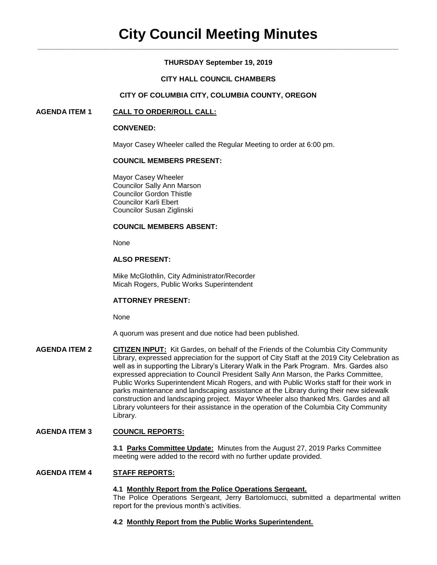# **THURSDAY September 19, 2019**

# **CITY HALL COUNCIL CHAMBERS**

# **CITY OF COLUMBIA CITY, COLUMBIA COUNTY, OREGON**

# **AGENDA ITEM 1 CALL TO ORDER/ROLL CALL:**

### **CONVENED:**

Mayor Casey Wheeler called the Regular Meeting to order at 6:00 pm.

# **COUNCIL MEMBERS PRESENT:**

Mayor Casey Wheeler Councilor Sally Ann Marson Councilor Gordon Thistle Councilor Karli Ebert Councilor Susan Ziglinski

### **COUNCIL MEMBERS ABSENT:**

None

# **ALSO PRESENT:**

Mike McGlothlin, City Administrator/Recorder Micah Rogers, Public Works Superintendent

# **ATTORNEY PRESENT:**

None

A quorum was present and due notice had been published.

**AGENDA ITEM 2 CITIZEN INPUT:** Kit Gardes, on behalf of the Friends of the Columbia City Community Library, expressed appreciation for the support of City Staff at the 2019 City Celebration as well as in supporting the Library's Literary Walk in the Park Program. Mrs. Gardes also expressed appreciation to Council President Sally Ann Marson, the Parks Committee, Public Works Superintendent Micah Rogers, and with Public Works staff for their work in parks maintenance and landscaping assistance at the Library during their new sidewalk construction and landscaping project. Mayor Wheeler also thanked Mrs. Gardes and all Library volunteers for their assistance in the operation of the Columbia City Community Library.

# **AGENDA ITEM 3 COUNCIL REPORTS:**

**3.1 Parks Committee Update:** Minutes from the August 27, 2019 Parks Committee meeting were added to the record with no further update provided.

### **AGENDA ITEM 4 STAFF REPORTS:**

#### **4.1 Monthly Report from the Police Operations Sergeant.**

The Police Operations Sergeant, Jerry Bartolomucci, submitted a departmental written report for the previous month's activities.

### **4.2 Monthly Report from the Public Works Superintendent.**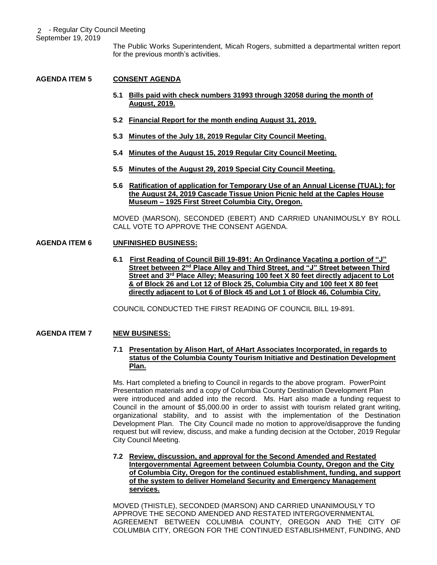The Public Works Superintendent, Micah Rogers, submitted a departmental written report for the previous month's activities.

# **AGENDA ITEM 5 CONSENT AGENDA**

- **5.1 Bills paid with check numbers 31993 through 32058 during the month of August, 2019.**
- **5.2 Financial Report for the month ending August 31, 2019.**
- **5.3 Minutes of the July 18, 2019 Regular City Council Meeting.**
- **5.4 Minutes of the August 15, 2019 Regular City Council Meeting.**
- **5.5 Minutes of the August 29, 2019 Special City Council Meeting.**
- **5.6 Ratification of application for Temporary Use of an Annual License (TUAL); for the August 24, 2019 Cascade Tissue Union Picnic held at the Caples House Museum – 1925 First Street Columbia City, Oregon.**

MOVED (MARSON), SECONDED (EBERT) AND CARRIED UNANIMOUSLY BY ROLL CALL VOTE TO APPROVE THE CONSENT AGENDA.

# **AGENDA ITEM 6 UNFINISHED BUSINESS:**

**6.1 First Reading of Council Bill 19-891: An Ordinance Vacating a portion of "J" Street between 2nd Place Alley and Third Street, and "J" Street between Third Street and 3rd Place Alley; Measuring 100 feet X 80 feet directly adjacent to Lot & of Block 26 and Lot 12 of Block 25, Columbia City and 100 feet X 80 feet directly adjacent to Lot 6 of Block 45 and Lot 1 of Block 46, Columbia City.**

COUNCIL CONDUCTED THE FIRST READING OF COUNCIL BILL 19-891.

# **AGENDA ITEM 7 NEW BUSINESS:**

# **7.1 Presentation by Alison Hart, of AHart Associates Incorporated, in regards to status of the Columbia County Tourism Initiative and Destination Development Plan.**

Ms. Hart completed a briefing to Council in regards to the above program. PowerPoint Presentation materials and a copy of Columbia County Destination Development Plan were introduced and added into the record. Ms. Hart also made a funding request to Council in the amount of \$5,000.00 in order to assist with tourism related grant writing, organizational stability, and to assist with the implementation of the Destination Development Plan. The City Council made no motion to approve/disapprove the funding request but will review, discuss, and make a funding decision at the October, 2019 Regular City Council Meeting.

### **7.2 Review, discussion, and approval for the Second Amended and Restated Intergovernmental Agreement between Columbia County, Oregon and the City of Columbia City, Oregon for the continued establishment, funding, and support of the system to deliver Homeland Security and Emergency Management services.**

MOVED (THISTLE), SECONDED (MARSON) AND CARRIED UNANIMOUSLY TO APPROVE THE SECOND AMENDED AND RESTATED INTERGOVERNMENTAL AGREEMENT BETWEEN COLUMBIA COUNTY, OREGON AND THE CITY OF COLUMBIA CITY, OREGON FOR THE CONTINUED ESTABLISHMENT, FUNDING, AND